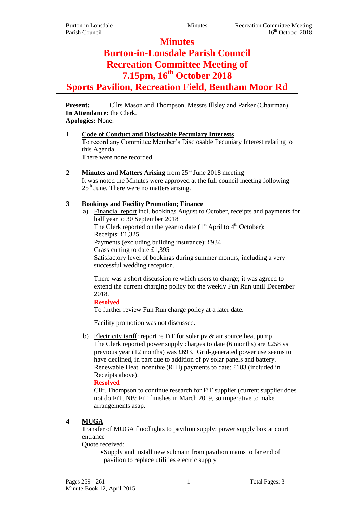**Minutes**

# **Burton-in-Lonsdale Parish Council Recreation Committee Meeting of 7.15pm, 16th October 2018 Sports Pavilion, Recreation Field, Bentham Moor Rd**

**Present:** Cllrs Mason and Thompson, Messrs Illsley and Parker (Chairman) **In Attendance:** the Clerk.

# **Apologies:** None.

## **1 Code of Conduct and Disclosable Pecuniary Interests**

To record any Committee Member's Disclosable Pecuniary Interest relating to this Agenda

There were none recorded.

**2 Minutes and Matters Arising** from 25<sup>th</sup> June 2018 meeting It was noted the Minutes were approved at the full council meeting following  $25<sup>th</sup>$  June. There were no matters arising.

# **3 Bookings and Facility Promotion; Finance**

a) Financial report incl. bookings August to October, receipts and payments for half year to 30 September 2018 The Clerk reported on the year to date  $(1<sup>st</sup>$  April to  $4<sup>th</sup>$  October): Receipts: £1,325 Payments (excluding building insurance): £934 Grass cutting to date £1,395 Satisfactory level of bookings during summer months, including a very successful wedding reception.

There was a short discussion re which users to charge; it was agreed to extend the current charging policy for the weekly Fun Run until December 2018.

**Resolved**

To further review Fun Run charge policy at a later date.

Facility promotion was not discussed.

b) Electricity tariff: report re FiT for solar pv & air source heat pump The Clerk reported power supply charges to date (6 months) are £258 vs previous year (12 months) was £693. Grid-generated power use seems to have declined, in part due to addition of pv solar panels and battery. Renewable Heat Incentive (RHI) payments to date: £183 (included in Receipts above).

**Resolved**

Cllr. Thompson to continue research for FiT supplier (current supplier does not do FiT. NB: FiT finishes in March 2019, so imperative to make arrangements asap.

## **4 MUGA**

Transfer of MUGA floodlights to pavilion supply; power supply box at court entrance

Quote received:

Supply and install new submain from pavilion mains to far end of pavilion to replace utilities electric supply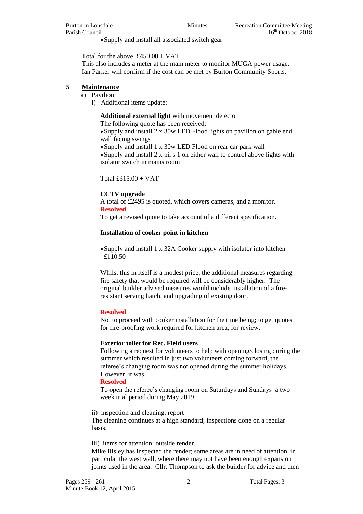Supply and install all associated switch gear

Total for the above  $£450.00 + VAT$ 

This also includes a meter at the main meter to monitor MUGA power usage. Ian Parker will confirm if the cost can be met by Burton Community Sports.

#### **5 Maintenance**

- a) Pavilion:
	- i) Additional items update:

**Additional external light** with movement detector

The following quote has been received:

Supply and install 2 x 30w LED Flood lights on pavilion on gable end wall facing swings

Supply and install 1 x 30w LED Flood on rear car park wall

Supply and install 2 x pir's 1 on either wall to control above lights with isolator switch in mains room

Total £315.00 + VAT

#### **CCTV upgrade**

A total of £2495 is quoted, which covers cameras, and a monitor. **Resolved**

To get a revised quote to take account of a different specification.

#### **Installation of cooker point in kitchen**

Supply and install 1 x 32A Cooker supply with isolator into kitchen £110.50

Whilst this in itself is a modest price, the additional measures regarding fire safety that would be required will be considerably higher. The original builder advised measures would include installation of a fireresistant serving hatch, and upgrading of existing door.

#### **Resolved**

Not to proceed with cooker installation for the time being; to get quotes for fire-proofing work required for kitchen area, for review.

#### **Exterior toilet for Rec. Field users**

Following a request for volunteers to help with opening/closing during the summer which resulted in just two volunteers coming forward, the referee's changing room was not opened during the summer holidays. However, it was

## **Resolved**

To open the referee's changing room on Saturdays and Sundays a two week trial period during May 2019.

ii) inspection and cleaning: report

The cleaning continues at a high standard; inspections done on a regular basis.

iii) items for attention: outside render.

Mike Illsley has inspected the render; some areas are in need of attention, in particular the west wall, where there may not have been enough expansion joints used in the area. Cllr. Thompson to ask the builder for advice and then